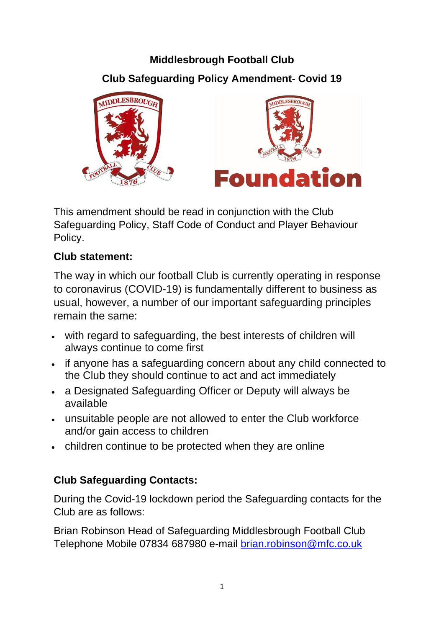# **Middlesbrough Football Club Club Safeguarding Policy Amendment- Covid 19**



This amendment should be read in conjunction with the Club Safeguarding Policy, Staff Code of Conduct and Player Behaviour Policy.

#### **Club statement:**

The way in which our football Club is currently operating in response to coronavirus (COVID-19) is fundamentally different to business as usual, however, a number of our important safeguarding principles remain the same:

- with regard to safeguarding, the best interests of children will always continue to come first
- if anyone has a safeguarding concern about any child connected to the Club they should continue to act and act immediately
- a Designated Safeguarding Officer or Deputy will always be available
- unsuitable people are not allowed to enter the Club workforce and/or gain access to children
- children continue to be protected when they are online

## **Club Safeguarding Contacts:**

During the Covid-19 lockdown period the Safeguarding contacts for the Club are as follows:

Brian Robinson Head of Safeguarding Middlesbrough Football Club Telephone Mobile 07834 687980 e-mail [brian.robinson@mfc.co.uk](mailto:brian.robinson@mfc.co.uk)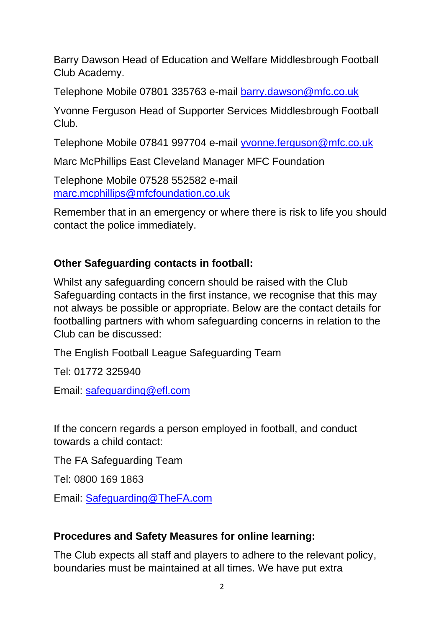Barry Dawson Head of Education and Welfare Middlesbrough Football Club Academy.

Telephone Mobile 07801 335763 e-mail [barry.dawson@mfc.co.uk](mailto:barry.dawson@mfc.co.uk)

Yvonne Ferguson Head of Supporter Services Middlesbrough Football Club.

Telephone Mobile 07841 997704 e-mail [yvonne.ferguson@mfc.co.uk](mailto:yvonne.ferguson@mfc.co.uk)

Marc McPhillips East Cleveland Manager MFC Foundation

Telephone Mobile 07528 552582 e-mail [marc.mcphillips@mfcfoundation.co.uk](mailto:marc.mcphillips@mfcfoundation.co.uk)

Remember that in an emergency or where there is risk to life you should contact the police immediately.

#### **Other Safeguarding contacts in football:**

Whilst any safeguarding concern should be raised with the Club Safeguarding contacts in the first instance, we recognise that this may not always be possible or appropriate. Below are the contact details for footballing partners with whom safeguarding concerns in relation to the Club can be discussed:

The English Football League Safeguarding Team

Tel: 01772 325940

Email: [safeguarding@efl.com](mailto:safeguarding@efl.com)

If the concern regards a person employed in football, and conduct towards a child contact:

The FA Safeguarding Team

Tel: 0800 169 1863

Email: [Safeguarding@TheFA.com](mailto:Safeguarding@TheFA.com)

#### **Procedures and Safety Measures for online learning:**

The Club expects all staff and players to adhere to the relevant policy, boundaries must be maintained at all times. We have put extra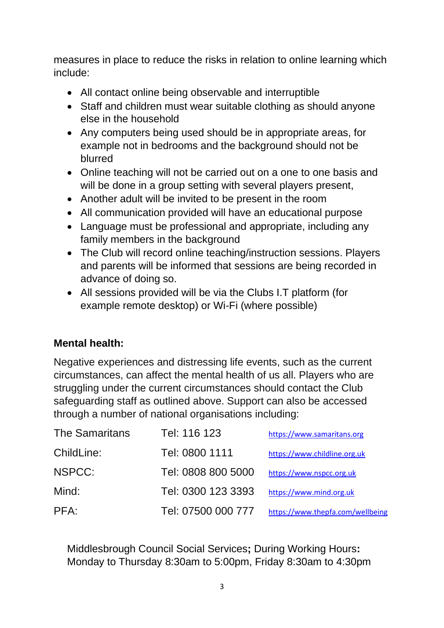measures in place to reduce the risks in relation to online learning which include:

- All contact online being observable and interruptible
- Staff and children must wear suitable clothing as should anyone else in the household
- Any computers being used should be in appropriate areas, for example not in bedrooms and the background should not be blurred
- Online teaching will not be carried out on a one to one basis and will be done in a group setting with several players present,
- Another adult will be invited to be present in the room
- All communication provided will have an educational purpose
- Language must be professional and appropriate, including any family members in the background
- The Club will record online teaching/instruction sessions. Players and parents will be informed that sessions are being recorded in advance of doing so.
- All sessions provided will be via the Clubs I.T platform (for example remote desktop) or Wi-Fi (where possible)

### **Mental health:**

Negative experiences and distressing life events, such as the current circumstances, can affect the mental health of us all. Players who are struggling under the current circumstances should contact the Club safeguarding staff as outlined above. Support can also be accessed through a number of national organisations including:

| <b>The Samaritans</b> | Tel: 116 123       | https://www.samaritans.org       |
|-----------------------|--------------------|----------------------------------|
| ChildLine:            | Tel: 0800 1111     | https://www.childline.org.uk     |
| NSPCC:                | Tel: 0808 800 5000 | https://www.nspcc.org.uk         |
| Mind:                 | Tel: 0300 123 3393 | https://www.mind.org.uk          |
| PFA:                  | Tel: 07500 000 777 | https://www.thepfa.com/wellbeing |

Middlesbrough Council Social Services**;** During Working Hours**:**  Monday to Thursday 8:30am to 5:00pm, Friday 8:30am to 4:30pm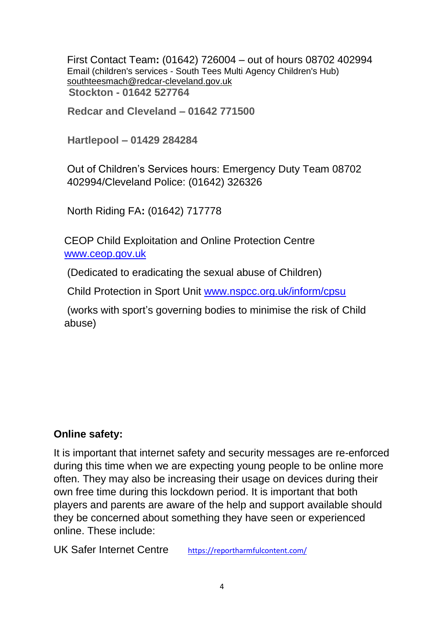First Contact Team**:** (01642) 726004 – out of hours 08702 402994 Email (children's services - South Tees Multi Agency Children's Hub) [southteesmach@redcar-cleveland.gov.uk](mailto:southteesmach@redcar-cleveland.gov.uk) **Stockton - 01642 527764**

**Redcar and Cleveland – 01642 771500**

**Hartlepool – 01429 284284**

Out of Children's Services hours: Emergency Duty Team 08702 402994/Cleveland Police: (01642) 326326

North Riding FA**:** (01642) 717778

CEOP Child Exploitation and Online Protection Centre [www.ceop.gov.uk](http://www.ceop.gov.uk/)

(Dedicated to eradicating the sexual abuse of Children)

Child Protection in Sport Unit [www.nspcc.org.uk/inform/cpsu](http://www.nspcc.org.uk/inform/cpsu)

(works with sport's governing bodies to minimise the risk of Child abuse)

#### **Online safety:**

It is important that internet safety and security messages are re-enforced during this time when we are expecting young people to be online more often. They may also be increasing their usage on devices during their own free time during this lockdown period. It is important that both players and parents are aware of the help and support available should they be concerned about something they have seen or experienced online. These include:

UK Safer Internet Centre <https://reportharmfulcontent.com/>